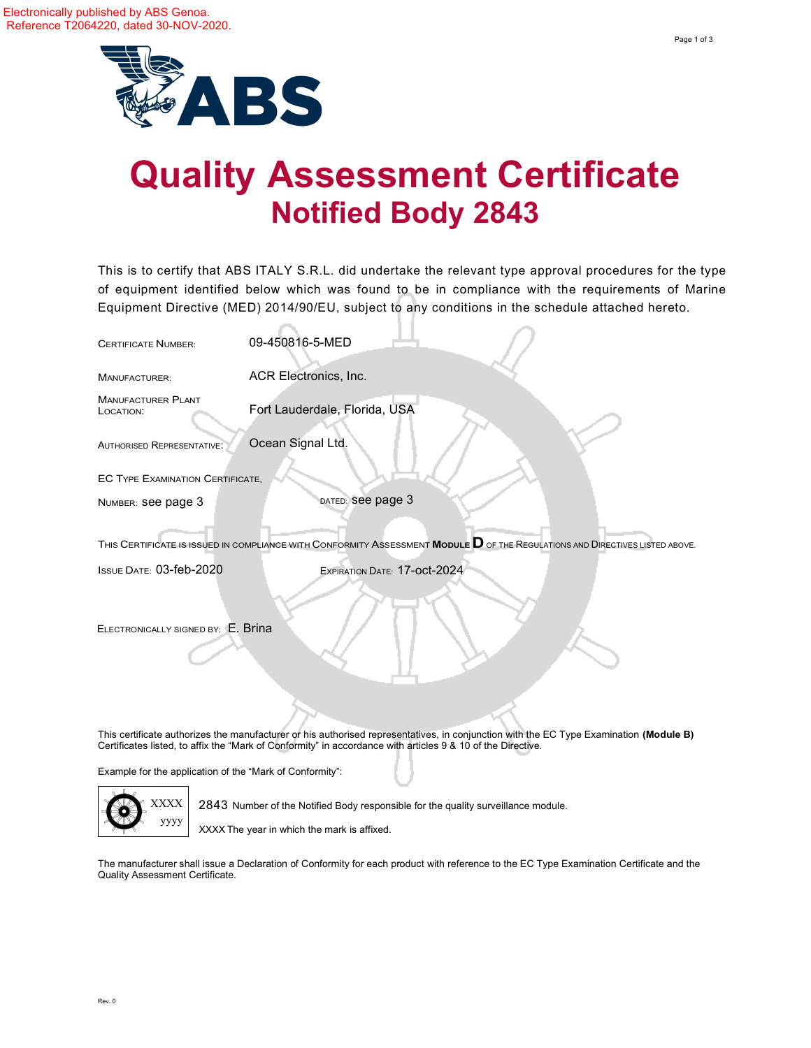

## Quality Assessment Certificate Notified Body 2843

This is to certify that ABS ITALY S.R.L. did undertake the relevant type approval procedures for the type of equipment identified below which was found to be in compliance with the requirements of Marine Equipment Directive (MED) 201 4/90/EU, subject to any conditions in the schedule attached hereto.

| <b>CERTIFICATE NUMBER:</b>              | 09-450816-5-MED                                                                                                                                                                                                                                       |
|-----------------------------------------|-------------------------------------------------------------------------------------------------------------------------------------------------------------------------------------------------------------------------------------------------------|
| MANUFACTURER:                           | ACR Electronics, Inc.                                                                                                                                                                                                                                 |
| <b>MANUFACTURER PLANT</b><br>LOCATION:  | Fort Lauderdale, Florida, USA                                                                                                                                                                                                                         |
| <b>AUTHORISED REPRESENTATIVE:</b>       | Ocean Signal Ltd.                                                                                                                                                                                                                                     |
| <b>EC TYPE EXAMINATION CERTIFICATE.</b> |                                                                                                                                                                                                                                                       |
| NUMBER: See page 3                      | DATED: See page 3                                                                                                                                                                                                                                     |
|                                         | THIS CERTIFICATE IS ISSUED IN COMPLIANCE WITH CONFORMITY ASSESSMENT MODULE <b>D</b> OF THE REGULATIONS AND DIRECTIVES LISTED ABOVE.                                                                                                                   |
| <b>ISSUE DATE: 03-feb-2020</b>          | EXPIRATION DATE: 17-OCt-2024                                                                                                                                                                                                                          |
| ELECTRONICALLY SIGNED BY: E. Brina      |                                                                                                                                                                                                                                                       |
|                                         |                                                                                                                                                                                                                                                       |
|                                         | This certificate authorizes the manufacturer or his authorised representatives, in conjunction with the EC Type Examination (Module B)<br>Certificates listed, to affix the "Mark of Conformity" in accordance with articles 9 & 10 of the Directive. |

Example for the application of the "Mark of Conformity":



2843 Number of the Notified Body responsible for the quality surveillance module.

XXXX The year in which the mark is affixed.

The manufacturer shall issue a Declaration of Conformity for each product with reference to the EC Type Examination Certificate and the Quality Assessment Certificate.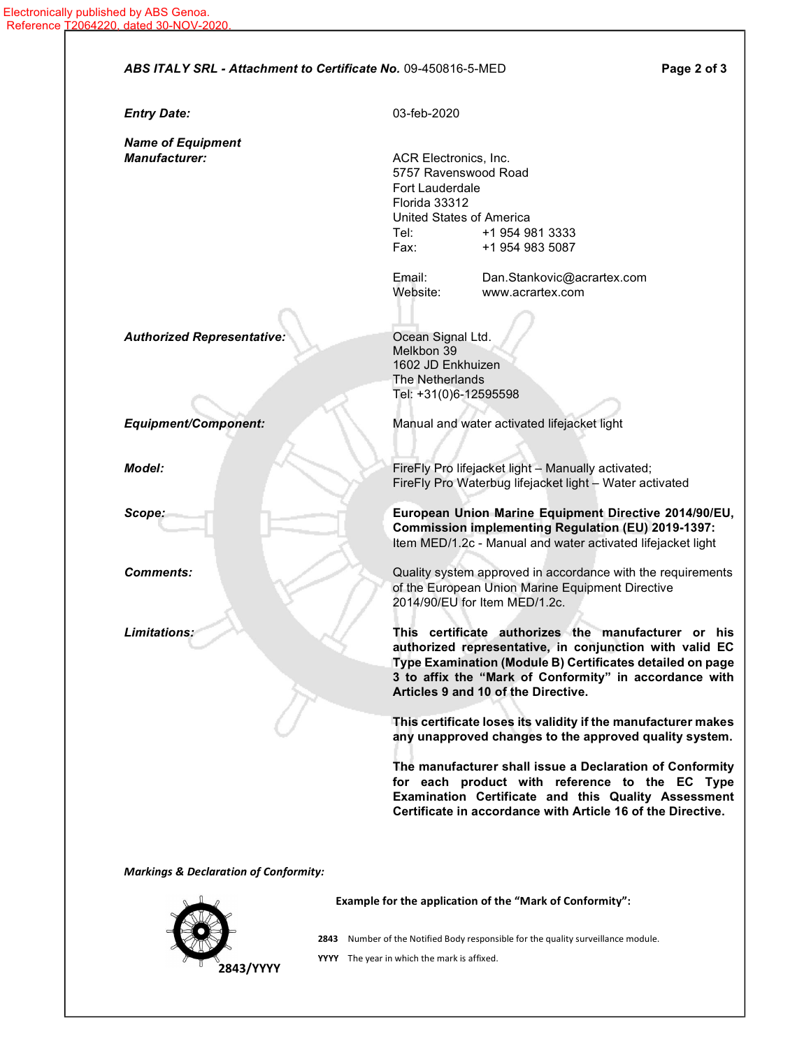| <b>Entry Date:</b>                | 03-feb-2020            |                                                                                                                      |
|-----------------------------------|------------------------|----------------------------------------------------------------------------------------------------------------------|
| <b>Name of Equipment</b>          |                        |                                                                                                                      |
| <b>Manufacturer:</b>              | ACR Electronics, Inc.  |                                                                                                                      |
|                                   |                        | 5757 Ravenswood Road                                                                                                 |
|                                   | <b>Fort Lauderdale</b> |                                                                                                                      |
|                                   | Florida 33312          |                                                                                                                      |
|                                   | Tel:                   | <b>United States of America</b><br>+1 954 981 3333                                                                   |
|                                   | Fax:                   | +1 954 983 5087                                                                                                      |
|                                   | Email:                 | Dan.Stankovic@acrartex.com                                                                                           |
|                                   | Website:               | www.acrartex.com                                                                                                     |
|                                   |                        |                                                                                                                      |
| <b>Authorized Representative:</b> | Ocean Signal Ltd.      |                                                                                                                      |
|                                   | Melkbon 39             |                                                                                                                      |
|                                   | 1602 JD Enkhuizen      |                                                                                                                      |
|                                   | The Netherlands        |                                                                                                                      |
|                                   | Tel: +31(0)6-12595598  |                                                                                                                      |
| <b>Equipment/Component:</b>       |                        | Manual and water activated lifejacket light                                                                          |
|                                   |                        |                                                                                                                      |
| Model:                            |                        | FireFly Pro lifejacket light - Manually activated;                                                                   |
|                                   |                        | FireFly Pro Waterbug lifejacket light - Water activated                                                              |
| Scope:                            |                        | European Union Marine Equipment Directive 2014/90/EU,                                                                |
|                                   |                        | <b>Commission implementing Regulation (EU) 2019-1397:</b>                                                            |
|                                   |                        | Item MED/1.2c - Manual and water activated lifejacket light                                                          |
| <b>Comments:</b>                  |                        | Quality system approved in accordance with the requirements                                                          |
|                                   |                        | of the European Union Marine Equipment Directive                                                                     |
|                                   |                        | 2014/90/EU for Item MED/1.2c.                                                                                        |
|                                   |                        |                                                                                                                      |
| Limitations:                      |                        | This certificate authorizes the manufacturer or his                                                                  |
|                                   |                        | authorized representative, in conjunction with valid EC<br>Type Examination (Module B) Certificates detailed on page |
|                                   |                        | 3 to affix the "Mark of Conformity" in accordance with                                                               |
|                                   |                        | Articles 9 and 10 of the Directive.                                                                                  |
|                                   |                        | This certificate loses its validity if the manufacturer makes                                                        |
|                                   |                        | any unapproved changes to the approved quality system.                                                               |
|                                   |                        | The manufacturer shall issue a Declaration of Conformity                                                             |
|                                   |                        | for each product with reference to the EC Type                                                                       |
|                                   |                        | Examination Certificate and this Quality Assessment                                                                  |
|                                   |                        | Certificate in accordance with Article 16 of the Directive.                                                          |
|                                   |                        |                                                                                                                      |

2843 Number of the Notified Body responsible for the quality surveillance module.

YYYY The year in which the mark is affixed.

2843/YYYY